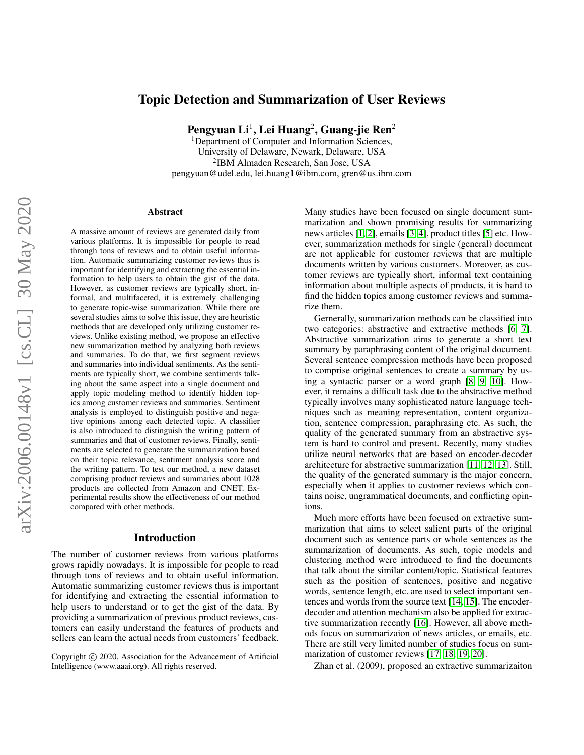# Topic Detection and Summarization of User Reviews

Pengyuan Li $^1$ , Lei Huang $^2$ , Guang-jie Ren $^2$ 

<sup>1</sup>Department of Computer and Information Sciences, University of Delaware, Newark, Delaware, USA 2 IBM Almaden Research, San Jose, USA pengyuan@udel.edu, lei.huang1@ibm.com, gren@us.ibm.com

#### Abstract

A massive amount of reviews are generated daily from various platforms. It is impossible for people to read through tons of reviews and to obtain useful information. Automatic summarizing customer reviews thus is important for identifying and extracting the essential information to help users to obtain the gist of the data. However, as customer reviews are typically short, informal, and multifaceted, it is extremely challenging to generate topic-wise summarization. While there are several studies aims to solve this issue, they are heuristic methods that are developed only utilizing customer reviews. Unlike existing method, we propose an effective new summarization method by analyzing both reviews and summaries. To do that, we first segment reviews and summaries into individual sentiments. As the sentiments are typically short, we combine sentiments talking about the same aspect into a single document and apply topic modeling method to identify hidden topics among customer reviews and summaries. Sentiment analysis is employed to distinguish positive and negative opinions among each detected topic. A classifier is also introduced to distinguish the writing pattern of summaries and that of customer reviews. Finally, sentiments are selected to generate the summarization based on their topic relevance, sentiment analysis score and the writing pattern. To test our method, a new dataset comprising product reviews and summaries about 1028 products are collected from Amazon and CNET. Experimental results show the effectiveness of our method compared with other methods.

#### Introduction

The number of customer reviews from various platforms grows rapidly nowadays. It is impossible for people to read through tons of reviews and to obtain useful information. Automatic summarizing customer reviews thus is important for identifying and extracting the essential information to help users to understand or to get the gist of the data. By providing a summarization of previous product reviews, customers can easily understand the features of products and sellers can learn the actual needs from customers' feedback. Many studies have been focused on single document summarization and shown promising results for summarizing news articles [\[1,](#page-4-0) [2\]](#page-4-1), emails [\[3,](#page-4-2) [4\]](#page-4-3), product titles [\[5\]](#page-4-4) etc. However, summarization methods for single (general) document are not applicable for customer reviews that are multiple documents written by various customers. Moreover, as customer reviews are typically short, informal text containing information about multiple aspects of products, it is hard to find the hidden topics among customer reviews and summarize them.

Gernerally, summarization methods can be classified into two categories: abstractive and extractive methods [\[6,](#page-4-5) [7\]](#page-4-6). Abstractive summarization aims to generate a short text summary by paraphrasing content of the original document. Several sentence compression methods have been proposed to comprise original sentences to create a summary by using a syntactic parser or a word graph [\[8,](#page-4-7) [9,](#page-4-8) [10\]](#page-4-9). However, it remains a difficult task due to the abstractive method typically involves many sophisticated nature language techniques such as meaning representation, content organization, sentence compression, paraphrasing etc. As such, the quality of the generated summary from an abstractive system is hard to control and present. Recently, many studies utilize neural networks that are based on encoder-decoder architecture for abstractive summarization [\[11,](#page-4-10) [12,](#page-4-11) [13\]](#page-4-12). Still, the quality of the generated summary is the major concern, especially when it applies to customer reviews which contains noise, ungrammatical documents, and conflicting opinions.

Much more efforts have been focused on extractive summarization that aims to select salient parts of the original document such as sentence parts or whole sentences as the summarization of documents. As such, topic models and clustering method were introduced to find the documents that talk about the similar content/topic. Statistical features such as the position of sentences, positive and negative words, sentence length, etc. are used to select important sentences and words from the source text [\[14,](#page-4-13) [15\]](#page-4-14). The encoderdecoder and attention mechanism also be applied for extractive summarization recently [\[16\]](#page-4-15). However, all above methods focus on summarizaion of news articles, or emails, etc. There are still very limited number of studies focus on summarization of customer reviews [\[17,](#page-4-16) [18,](#page-4-17) [19,](#page-4-18) [20\]](#page-4-19).

Zhan et al. (2009), proposed an extractive summarizaiton

Copyright (c) 2020, Association for the Advancement of Artificial Intelligence (www.aaai.org). All rights reserved.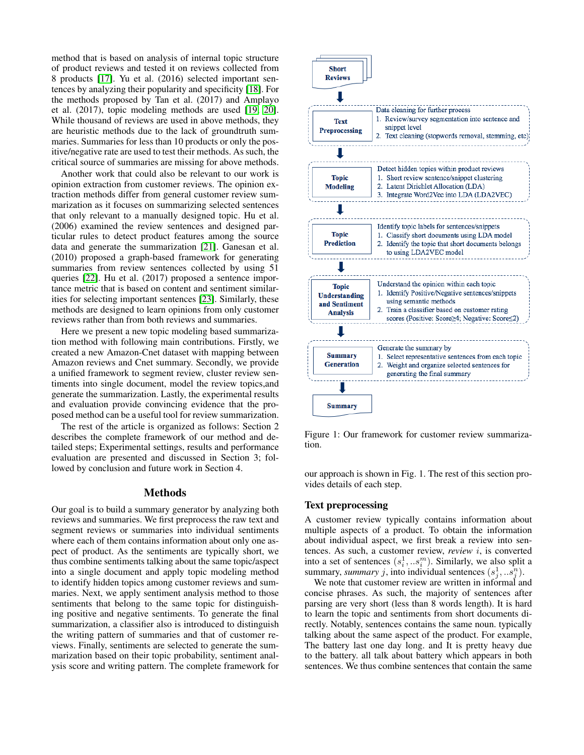method that is based on analysis of internal topic structure of product reviews and tested it on reviews collected from 8 products [\[17\]](#page-4-16). Yu et al. (2016) selected important sentences by analyzing their popularity and specificity [\[18\]](#page-4-17). For the methods proposed by Tan et al. (2017) and Amplayo et al. (2017), topic modeling methods are used [\[19,](#page-4-18) [20\]](#page-4-19). While thousand of reviews are used in above methods, they are heuristic methods due to the lack of groundtruth summaries. Summaries for less than 10 products or only the positive/negative rate are used to test their methods. As such, the critical source of summaries are missing for above methods.

Another work that could also be relevant to our work is opinion extraction from customer reviews. The opinion extraction methods differ from general customer review summarization as it focuses on summarizing selected sentences that only relevant to a manually designed topic. Hu et al. (2006) examined the review sentences and designed particular rules to detect product features among the source data and generate the summarization [\[21\]](#page-4-20). Ganesan et al. (2010) proposed a graph-based framework for generating summaries from review sentences collected by using 51 queries [\[22\]](#page-4-21). Hu et al. (2017) proposed a sentence importance metric that is based on content and sentiment similarities for selecting important sentences [\[23\]](#page-4-22). Similarly, these methods are designed to learn opinions from only customer reviews rather than from both reviews and summaries.

Here we present a new topic modeling based summarization method with following main contributions. Firstly, we created a new Amazon-Cnet dataset with mapping between Amazon reviews and Cnet summary. Secondly, we provide a unified framework to segment review, cluster review sentiments into single document, model the review topics,and generate the summarization. Lastly, the experimental results and evaluation provide convincing evidence that the proposed method can be a useful tool for review summarization.

The rest of the article is organized as follows: Section 2 describes the complete framework of our method and detailed steps; Experimental settings, results and performance evaluation are presented and discussed in Section 3; followed by conclusion and future work in Section 4.

# Methods

Our goal is to build a summary generator by analyzing both reviews and summaries. We first preprocess the raw text and segment reviews or summaries into individual sentiments where each of them contains information about only one aspect of product. As the sentiments are typically short, we thus combine sentiments talking about the same topic/aspect into a single document and apply topic modeling method to identify hidden topics among customer reviews and summaries. Next, we apply sentiment analysis method to those sentiments that belong to the same topic for distinguishing positive and negative sentiments. To generate the final summarization, a classifier also is introduced to distinguish the writing pattern of summaries and that of customer reviews. Finally, sentiments are selected to generate the summarization based on their topic probability, sentiment analysis score and writing pattern. The complete framework for



Figure 1: Our framework for customer review summarization.

our approach is shown in Fig. 1. The rest of this section provides details of each step.

### Text preprocessing

A customer review typically contains information about multiple aspects of a product. To obtain the information about individual aspect, we first break a review into sentences. As such, a customer review, *review* i, is converted into a set of sentences  $(s_i^1, \ldots s_i^m)$ . Similarly, we also split a summary, *summary* j, into individual sentences  $(s_j^1, \ldots, s_j^n)$ .

We note that customer review are written in informal and concise phrases. As such, the majority of sentences after parsing are very short (less than 8 words length). It is hard to learn the topic and sentiments from short documents directly. Notably, sentences contains the same noun. typically talking about the same aspect of the product. For example, The battery last one day long. and It is pretty heavy due to the battery. all talk about battery which appears in both sentences. We thus combine sentences that contain the same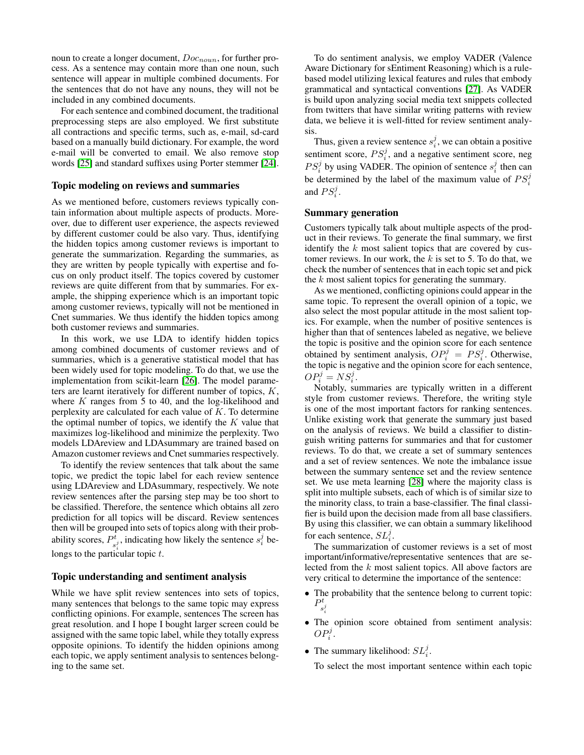noun to create a longer document,  $Doc_{noun}$ , for further process. As a sentence may contain more than one noun, such sentence will appear in multiple combined documents. For the sentences that do not have any nouns, they will not be included in any combined documents.

For each sentence and combined document, the traditional preprocessing steps are also employed. We first substitute all contractions and specific terms, such as, e-mail, sd-card based on a manually build dictionary. For example, the word e-mail will be converted to email. We also remove stop words [\[25\]](#page-5-0) and standard suffixes using Porter stemmer [\[24\]](#page-5-1).

## Topic modeling on reviews and summaries

As we mentioned before, customers reviews typically contain information about multiple aspects of products. Moreover, due to different user experience, the aspects reviewed by different customer could be also vary. Thus, identifying the hidden topics among customer reviews is important to generate the summarization. Regarding the summaries, as they are written by people typically with expertise and focus on only product itself. The topics covered by customer reviews are quite different from that by summaries. For example, the shipping experience which is an important topic among customer reviews, typically will not be mentioned in Cnet summaries. We thus identify the hidden topics among both customer reviews and summaries.

In this work, we use LDA to identify hidden topics among combined documents of customer reviews and of summaries, which is a generative statistical model that has been widely used for topic modeling. To do that, we use the implementation from scikit-learn [\[26\]](#page-5-2). The model parameters are learnt iteratively for different number of topics,  $K$ , where  $K$  ranges from 5 to 40, and the log-likelihood and perplexity are calculated for each value of  $K$ . To determine the optimal number of topics, we identify the  $K$  value that maximizes log-likelihood and minimize the perplexity. Two models LDAreview and LDAsummary are trained based on Amazon customer reviews and Cnet summaries respectively.

To identify the review sentences that talk about the same topic, we predict the topic label for each review sentence using LDAreview and LDAsummary, respectively. We note review sentences after the parsing step may be too short to be classified. Therefore, the sentence which obtains all zero prediction for all topics will be discard. Review sentences then will be grouped into sets of topics along with their probability scores,  $P_x^t$  $s_i^t$ , indicating how likely the sentence  $s_i^j$  belongs to the particular topic  $t$ .

# Topic understanding and sentiment analysis

While we have split review sentences into sets of topics, many sentences that belongs to the same topic may express conflicting opinions. For example, sentences The screen has great resolution. and I hope I bought larger screen could be assigned with the same topic label, while they totally express opposite opinions. To identify the hidden opinions among each topic, we apply sentiment analysis to sentences belonging to the same set.

To do sentiment analysis, we employ VADER (Valence Aware Dictionary for sEntiment Reasoning) which is a rulebased model utilizing lexical features and rules that embody grammatical and syntactical conventions [\[27\]](#page-5-3). As VADER is build upon analyzing social media text snippets collected from twitters that have similar writing patterns with review data, we believe it is well-fitted for review sentiment analysis.

Thus, given a review sentence  $s_i^j$ , we can obtain a positive sentiment score,  $PS_i^j$ , and a negative sentiment score, neg  $PS_i^j$  by using VADER. The opinion of sentence  $s_i^j$  then can be determined by the label of the maximum value of  $PS_i^j$ and  $PS_i^j$ .

## Summary generation

Customers typically talk about multiple aspects of the product in their reviews. To generate the final summary, we first identify the  $k$  most salient topics that are covered by customer reviews. In our work, the  $k$  is set to 5. To do that, we check the number of sentences that in each topic set and pick the  $k$  most salient topics for generating the summary.

As we mentioned, conflicting opinions could appear in the same topic. To represent the overall opinion of a topic, we also select the most popular attitude in the most salient topics. For example, when the number of positive sentences is higher than that of sentences labeled as negative, we believe the topic is positive and the opinion score for each sentence obtained by sentiment analysis,  $OP_i^j = PS_i^j$ . Otherwise, the topic is negative and the opinion score for each sentence,  $OP_i^j = NS_i^j.$ 

Notably, summaries are typically written in a different style from customer reviews. Therefore, the writing style is one of the most important factors for ranking sentences. Unlike existing work that generate the summary just based on the analysis of reviews. We build a classifier to distinguish writing patterns for summaries and that for customer reviews. To do that, we create a set of summary sentences and a set of review sentences. We note the imbalance issue between the summary sentence set and the review sentence set. We use meta learning [\[28\]](#page-5-4) where the majority class is split into multiple subsets, each of which is of similar size to the minority class, to train a base-classifier. The final classifier is build upon the decision made from all base classifiers. By using this classifier, we can obtain a summary likelihood for each sentence,  $SL_i^j$ .

The summarization of customer reviews is a set of most important/informative/representative sentences that are selected from the k most salient topics. All above factors are very critical to determine the importance of the sentence:

- The probability that the sentence belong to current topic:  $P_{1}^{t}$  $s_i^j$
- The opinion score obtained from sentiment analysis:  $OP_i^j.$
- The summary likelihood:  $SL_i^j$ .

To select the most important sentence within each topic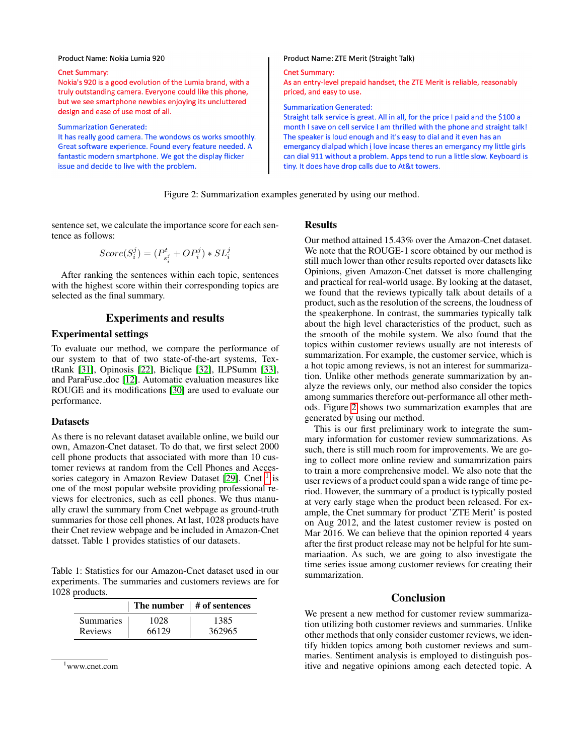#### Product Name: Nokia Lumia 920

#### Cnet Summary:

Nokia's 920 is a good evolution of the Lumia brand, with a truly outstanding camera. Everyone could like this phone, but we see smartphone newbies enjoying its uncluttered design and ease of use most of all.

#### **Summarization Generated:**

It has really good camera. The wondows os works smoothly. Great software experience. Found every feature needed. A fantastic modern smartphone. We got the display flicker issue and decide to live with the problem.

### Product Name: ZTE Merit (Straight Talk)

### **Cnet Summary:**

As an entry-level prepaid handset, the ZTE Merit is reliable, reasonably priced, and easy to use.

**Summarization Generated:** 

Straight talk service is great. All in all, for the price I paid and the \$100 a month I save on cell service I am thrilled with the phone and straight talk! The speaker is loud enough and it's easy to dial and it even has an emergancy dialpad which i love incase theres an emergancy my little girls can dial 911 without a problem. Apps tend to run a little slow. Keyboard is tiny. It does have drop calls due to At&t towers.

<span id="page-3-1"></span>Figure 2: Summarization examples generated by using our method.

sentence set, we calculate the importance score for each sentence as follows:

$$
Score(S_i^j) = (P_{s_i^j}^t + OP_i^j) * SL_i^j
$$

After ranking the sentences within each topic, sentences with the highest score within their corresponding topics are selected as the final summary.

# Experiments and results

# Experimental settings

To evaluate our method, we compare the performance of our system to that of two state-of-the-art systems, TextRank [\[31\]](#page-5-5), Opinosis [\[22\]](#page-4-21), Biclique [\[32\]](#page-5-6), ILPSumm [\[33\]](#page-5-7), and ParaFuse doc [\[12\]](#page-4-11). Automatic evaluation measures like ROUGE and its modifications [\[30\]](#page-5-8) are used to evaluate our performance.

### Datasets

As there is no relevant dataset available online, we build our own, Amazon-Cnet dataset. To do that, we first select 2000 cell phone products that associated with more than 10 customer reviews at random from the Cell Phones and Acces-sories category in Amazon Review Dataset [\[29\]](#page-5-9). Cnet <sup>[1](#page-3-0)</sup> is one of the most popular website providing professional reviews for electronics, such as cell phones. We thus manually crawl the summary from Cnet webpage as ground-truth summaries for those cell phones. At last, 1028 products have their Cnet review webpage and be included in Amazon-Cnet datsset. Table 1 provides statistics of our datasets.

Table 1: Statistics for our Amazon-Cnet dataset used in our experiments. The summaries and customers reviews are for 1028 products.

|                |       | The number $\vert$ # of sentences |
|----------------|-------|-----------------------------------|
| Summaries      | 1028  | 1385                              |
| <b>Reviews</b> | 66129 | 362965                            |

```
1www.cnet.com
```
### **Results**

Our method attained 15.43% over the Amazon-Cnet dataset. We note that the ROUGE-1 score obtained by our method is still much lower than other results reported over datasets like Opinions, given Amazon-Cnet datsset is more challenging and practical for real-world usage. By looking at the dataset, we found that the reviews typically talk about details of a product, such as the resolution of the screens, the loudness of the speakerphone. In contrast, the summaries typically talk about the high level characteristics of the product, such as the smooth of the mobile system. We also found that the topics within customer reviews usually are not interests of summarization. For example, the customer service, which is a hot topic among reviews, is not an interest for summarization. Unlike other methods generate summarization by analyze the reviews only, our method also consider the topics among summaries therefore out-performance all other methods. Figure [2](#page-3-1) shows two summarization examples that are generated by using our method.

This is our first preliminary work to integrate the summary information for customer review summarizations. As such, there is still much room for improvements. We are going to collect more online review and sumamrization pairs to train a more comprehensive model. We also note that the user reviews of a product could span a wide range of time period. However, the summary of a product is typically posted at very early stage when the product been released. For example, the Cnet summary for product 'ZTE Merit' is posted on Aug 2012, and the latest customer review is posted on Mar 2016. We can believe that the opinion reported 4 years after the first product release may not be helpful for hte summariaation. As such, we are going to also investigate the time series issue among customer reviews for creating their summarization.

# Conclusion

We present a new method for customer review summarization utilizing both customer reviews and summaries. Unlike other methods that only consider customer reviews, we identify hidden topics among both customer reviews and summaries. Sentiment analysis is employed to distinguish positive and negative opinions among each detected topic. A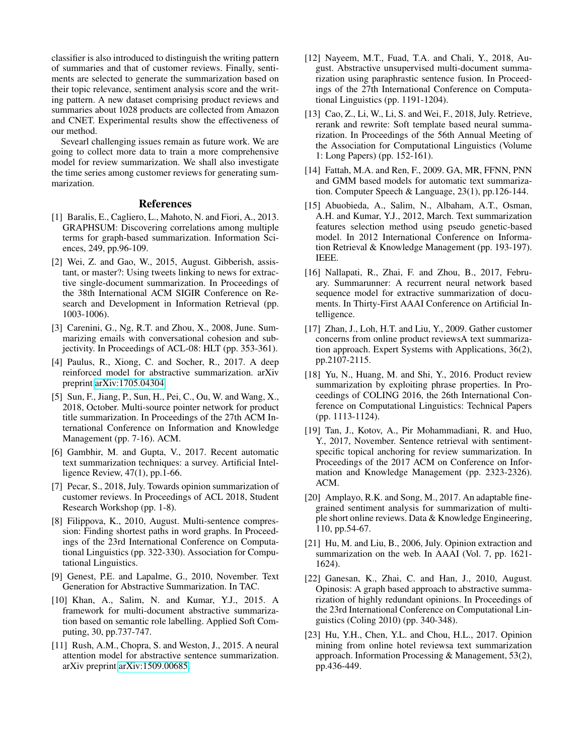classifier is also introduced to distinguish the writing pattern of summaries and that of customer reviews. Finally, sentiments are selected to generate the summarization based on their topic relevance, sentiment analysis score and the writing pattern. A new dataset comprising product reviews and summaries about 1028 products are collected from Amazon and CNET. Experimental results show the effectiveness of our method.

Sevearl challenging issues remain as future work. We are going to collect more data to train a more comprehensive model for review summarization. We shall also investigate the time series among customer reviews for generating summarization.

# References

- <span id="page-4-0"></span>[1] Baralis, E., Cagliero, L., Mahoto, N. and Fiori, A., 2013. GRAPHSUM: Discovering correlations among multiple terms for graph-based summarization. Information Sciences, 249, pp.96-109.
- <span id="page-4-1"></span>[2] Wei, Z. and Gao, W., 2015, August. Gibberish, assistant, or master?: Using tweets linking to news for extractive single-document summarization. In Proceedings of the 38th International ACM SIGIR Conference on Research and Development in Information Retrieval (pp. 1003-1006).
- <span id="page-4-2"></span>[3] Carenini, G., Ng, R.T. and Zhou, X., 2008, June. Summarizing emails with conversational cohesion and subjectivity. In Proceedings of ACL-08: HLT (pp. 353-361).
- <span id="page-4-3"></span>[4] Paulus, R., Xiong, C. and Socher, R., 2017. A deep reinforced model for abstractive summarization. arXiv preprint [arXiv:1705.04304.](http://arxiv.org/abs/1705.04304)
- <span id="page-4-4"></span>[5] Sun, F., Jiang, P., Sun, H., Pei, C., Ou, W. and Wang, X., 2018, October. Multi-source pointer network for product title summarization. In Proceedings of the 27th ACM International Conference on Information and Knowledge Management (pp. 7-16). ACM.
- <span id="page-4-5"></span>[6] Gambhir, M. and Gupta, V., 2017. Recent automatic text summarization techniques: a survey. Artificial Intelligence Review, 47(1), pp.1-66.
- <span id="page-4-6"></span>[7] Pecar, S., 2018, July. Towards opinion summarization of customer reviews. In Proceedings of ACL 2018, Student Research Workshop (pp. 1-8).
- <span id="page-4-7"></span>[8] Filippova, K., 2010, August. Multi-sentence compression: Finding shortest paths in word graphs. In Proceedings of the 23rd International Conference on Computational Linguistics (pp. 322-330). Association for Computational Linguistics.
- <span id="page-4-8"></span>[9] Genest, P.E. and Lapalme, G., 2010, November. Text Generation for Abstractive Summarization. In TAC.
- <span id="page-4-9"></span>[10] Khan, A., Salim, N. and Kumar, Y.J., 2015. A framework for multi-document abstractive summarization based on semantic role labelling. Applied Soft Computing, 30, pp.737-747.
- <span id="page-4-10"></span>[11] Rush, A.M., Chopra, S. and Weston, J., 2015. A neural attention model for abstractive sentence summarization. arXiv preprint [arXiv:1509.00685.](http://arxiv.org/abs/1509.00685)
- <span id="page-4-11"></span>[12] Nayeem, M.T., Fuad, T.A. and Chali, Y., 2018, August. Abstractive unsupervised multi-document summarization using paraphrastic sentence fusion. In Proceedings of the 27th International Conference on Computational Linguistics (pp. 1191-1204).
- <span id="page-4-12"></span>[13] Cao, Z., Li, W., Li, S. and Wei, F., 2018, July. Retrieve, rerank and rewrite: Soft template based neural summarization. In Proceedings of the 56th Annual Meeting of the Association for Computational Linguistics (Volume 1: Long Papers) (pp. 152-161).
- <span id="page-4-13"></span>[14] Fattah, M.A. and Ren, F., 2009. GA, MR, FFNN, PNN and GMM based models for automatic text summarization. Computer Speech & Language, 23(1), pp.126-144.
- <span id="page-4-14"></span>[15] Abuobieda, A., Salim, N., Albaham, A.T., Osman, A.H. and Kumar, Y.J., 2012, March. Text summarization features selection method using pseudo genetic-based model. In 2012 International Conference on Information Retrieval & Knowledge Management (pp. 193-197). IEEE.
- <span id="page-4-15"></span>[16] Nallapati, R., Zhai, F. and Zhou, B., 2017, February. Summarunner: A recurrent neural network based sequence model for extractive summarization of documents. In Thirty-First AAAI Conference on Artificial Intelligence.
- <span id="page-4-16"></span>[17] Zhan, J., Loh, H.T. and Liu, Y., 2009. Gather customer concerns from online product reviewsA text summarization approach. Expert Systems with Applications, 36(2), pp.2107-2115.
- <span id="page-4-17"></span>[18] Yu, N., Huang, M. and Shi, Y., 2016. Product review summarization by exploiting phrase properties. In Proceedings of COLING 2016, the 26th International Conference on Computational Linguistics: Technical Papers (pp. 1113-1124).
- <span id="page-4-18"></span>[19] Tan, J., Kotov, A., Pir Mohammadiani, R. and Huo, Y., 2017, November. Sentence retrieval with sentimentspecific topical anchoring for review summarization. In Proceedings of the 2017 ACM on Conference on Information and Knowledge Management (pp. 2323-2326). ACM.
- <span id="page-4-19"></span>[20] Amplayo, R.K. and Song, M., 2017. An adaptable finegrained sentiment analysis for summarization of multiple short online reviews. Data & Knowledge Engineering, 110, pp.54-67.
- <span id="page-4-20"></span>[21] Hu, M. and Liu, B., 2006, July. Opinion extraction and summarization on the web. In AAAI (Vol. 7, pp. 1621- 1624).
- <span id="page-4-21"></span>[22] Ganesan, K., Zhai, C. and Han, J., 2010, August. Opinosis: A graph based approach to abstractive summarization of highly redundant opinions. In Proceedings of the 23rd International Conference on Computational Linguistics (Coling 2010) (pp. 340-348).
- <span id="page-4-22"></span>[23] Hu, Y.H., Chen, Y.L. and Chou, H.L., 2017. Opinion mining from online hotel reviewsa text summarization approach. Information Processing & Management, 53(2), pp.436-449.